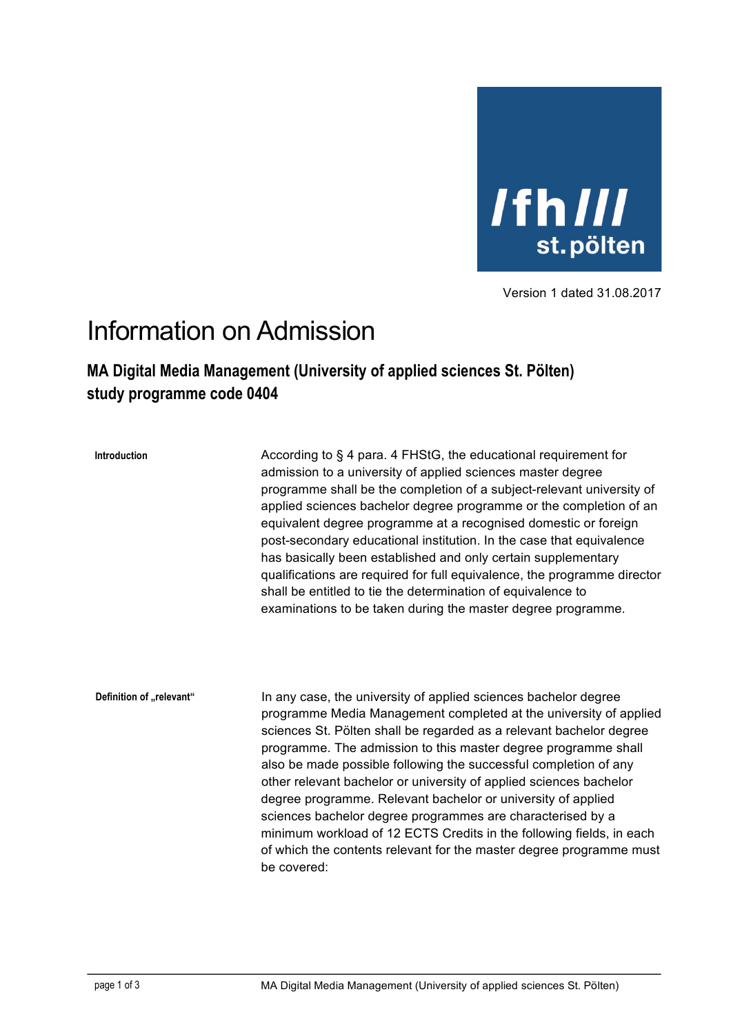

Version 1 dated 31.08.2017

## Information on Admission

## **MA Digital Media Management (University of applied sciences St. Pölten) study programme code 0404**

**Introduction**

According to § 4 para, 4 FHStG, the educational requirement for admission to a university of applied sciences master degree programme shall be the completion of a subject-relevant university of applied sciences bachelor degree programme or the completion of an equivalent degree programme at a recognised domestic or foreign post-secondary educational institution. In the case that equivalence has basically been established and only certain supplementary qualifications are required for full equivalence, the programme director shall be entitled to tie the determination of equivalence to examinations to be taken during the master degree programme.

In any case, the university of applied sciences bachelor degree programme Media Management completed at the university of applied sciences St. Pölten shall be regarded as a relevant bachelor degree programme. The admission to this master degree programme shall also be made possible following the successful completion of any other relevant bachelor or university of applied sciences bachelor degree programme. Relevant bachelor or university of applied sciences bachelor degree programmes are characterised by a minimum workload of 12 ECTS Credits in the following fields, in each of which the contents relevant for the master degree programme must be covered: **Definition of** "relevant"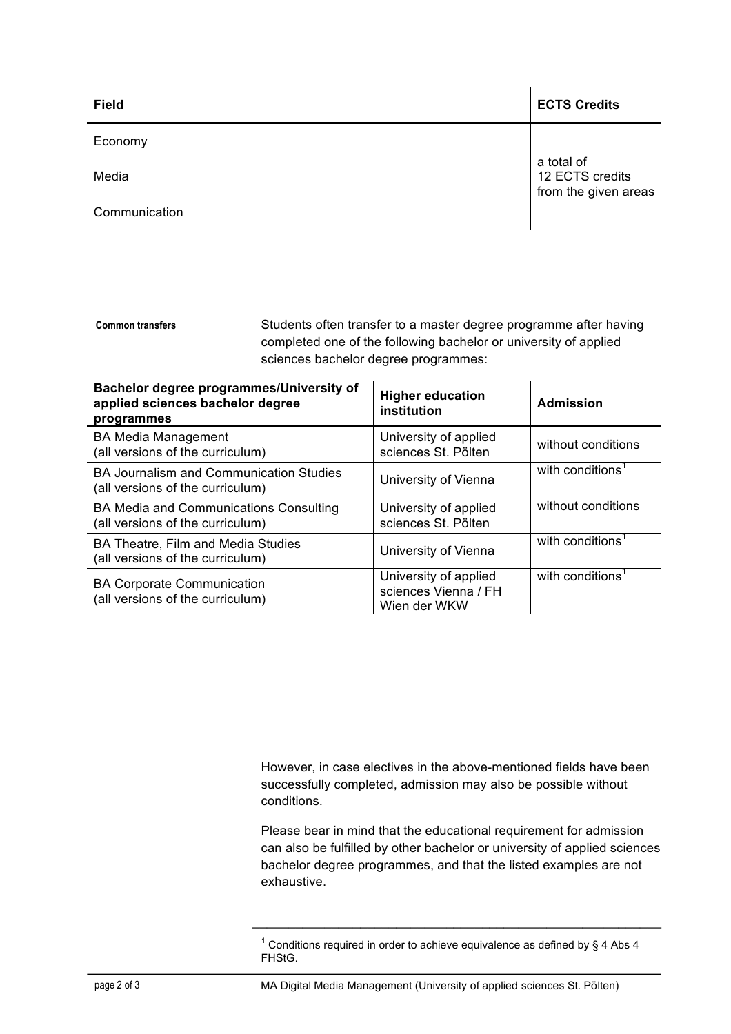| <b>Field</b>  | <b>ECTS Credits</b>                                   |
|---------------|-------------------------------------------------------|
| Economy       | a total of<br>12 ECTS credits<br>from the given areas |
| Media         |                                                       |
| Communication |                                                       |

Students often transfer to a master degree programme after having completed one of the following bachelor or university of applied sciences bachelor degree programmes: **Common transfers**

| Bachelor degree programmes/University of<br>applied sciences bachelor degree<br>programmes | <b>Higher education</b><br>institution                        | <b>Admission</b>             |
|--------------------------------------------------------------------------------------------|---------------------------------------------------------------|------------------------------|
| <b>BA Media Management</b><br>(all versions of the curriculum)                             | University of applied<br>sciences St. Pölten                  | without conditions           |
| <b>BA Journalism and Communication Studies</b><br>(all versions of the curriculum)         | University of Vienna                                          | with conditions <sup>1</sup> |
| <b>BA Media and Communications Consulting</b><br>(all versions of the curriculum)          | University of applied<br>sciences St. Pölten                  | without conditions           |
| BA Theatre, Film and Media Studies<br>(all versions of the curriculum)                     | University of Vienna                                          | with conditions <sup>1</sup> |
| <b>BA Corporate Communication</b><br>(all versions of the curriculum)                      | University of applied<br>sciences Vienna / FH<br>Wien der WKW | with conditions <sup>1</sup> |

However, in case electives in the above-mentioned fields have been successfully completed, admission may also be possible without conditions.

Please bear in mind that the educational requirement for admission can also be fulfilled by other bachelor or university of applied sciences bachelor degree programmes, and that the listed examples are not exhaustive.

 $1$  Conditions required in order to achieve equivalence as defined by § 4 Abs 4 FHStG.

page 2 of 3 MA Digital Media Management (University of applied sciences St. Pölten)